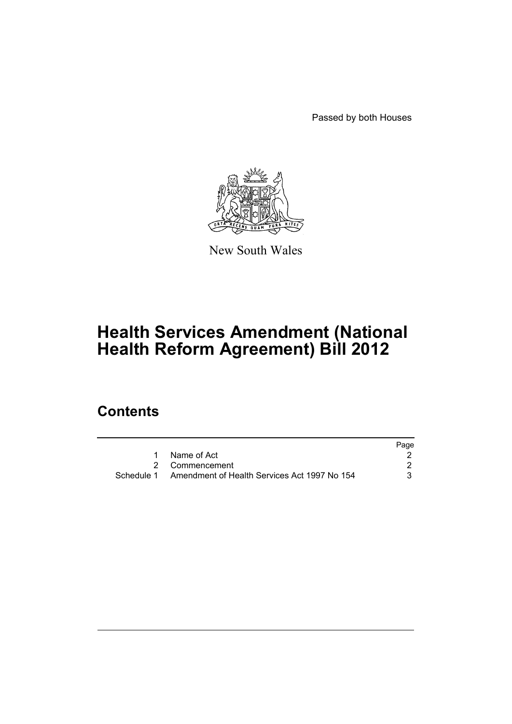Passed by both Houses



New South Wales

# **Health Services Amendment (National Health Reform Agreement) Bill 2012**

# **Contents**

|                                                         | Page |
|---------------------------------------------------------|------|
| 1 Name of Act                                           |      |
| 2 Commencement                                          |      |
| Schedule 1 Amendment of Health Services Act 1997 No 154 |      |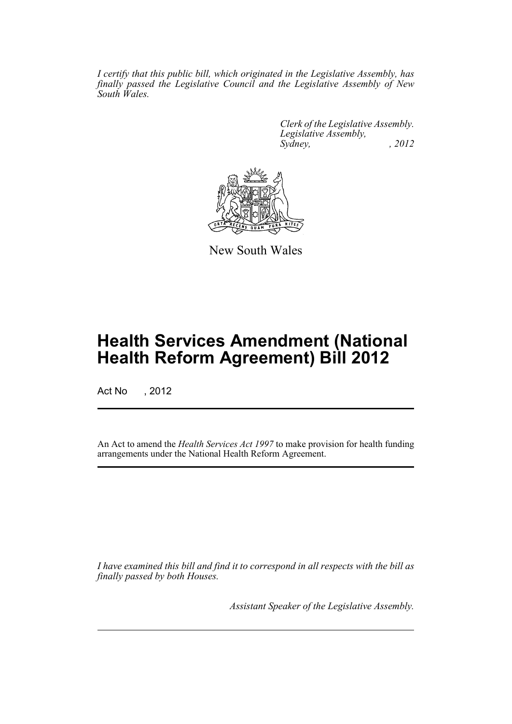*I certify that this public bill, which originated in the Legislative Assembly, has finally passed the Legislative Council and the Legislative Assembly of New South Wales.*

> *Clerk of the Legislative Assembly. Legislative Assembly, Sydney, , 2012*



New South Wales

# **Health Services Amendment (National Health Reform Agreement) Bill 2012**

Act No , 2012

An Act to amend the *Health Services Act 1997* to make provision for health funding arrangements under the National Health Reform Agreement.

*I have examined this bill and find it to correspond in all respects with the bill as finally passed by both Houses.*

*Assistant Speaker of the Legislative Assembly.*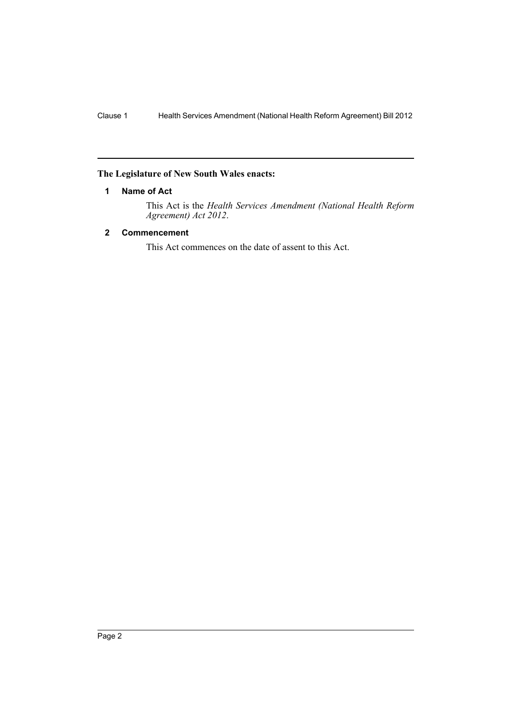### <span id="page-2-0"></span>**The Legislature of New South Wales enacts:**

## **1 Name of Act**

This Act is the *Health Services Amendment (National Health Reform Agreement) Act 2012*.

## <span id="page-2-1"></span>**2 Commencement**

This Act commences on the date of assent to this Act.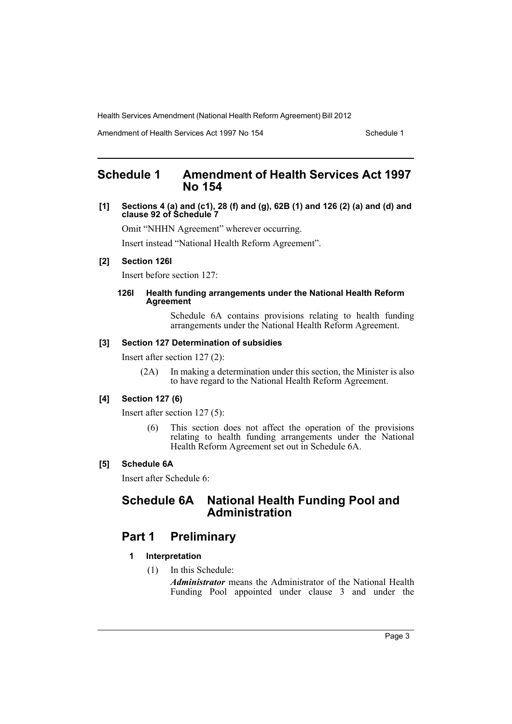Amendment of Health Services Act 1997 No 154 Schedule 1

# <span id="page-3-0"></span>**Schedule 1 Amendment of Health Services Act 1997 No 154**

**[1] Sections 4 (a) and (c1), 28 (f) and (g), 62B (1) and 126 (2) (a) and (d) and clause 92 of Schedule 7**

Omit "NHHN Agreement" wherever occurring.

Insert instead "National Health Reform Agreement".

# **[2] Section 126I**

Insert before section 127:

#### **126I Health funding arrangements under the National Health Reform Agreement**

Schedule 6A contains provisions relating to health funding arrangements under the National Health Reform Agreement.

#### **[3] Section 127 Determination of subsidies**

Insert after section 127 (2):

(2A) In making a determination under this section, the Minister is also to have regard to the National Health Reform Agreement.

### **[4] Section 127 (6)**

Insert after section 127 (5):

(6) This section does not affect the operation of the provisions relating to health funding arrangements under the National Health Reform Agreement set out in Schedule 6A.

#### **[5] Schedule 6A**

Insert after Schedule 6:

# **Schedule 6A National Health Funding Pool and Administration**

# **Part 1 Preliminary**

- **1 Interpretation**
	- (1) In this Schedule:

*Administrator* means the Administrator of the National Health Funding Pool appointed under clause 3 and under the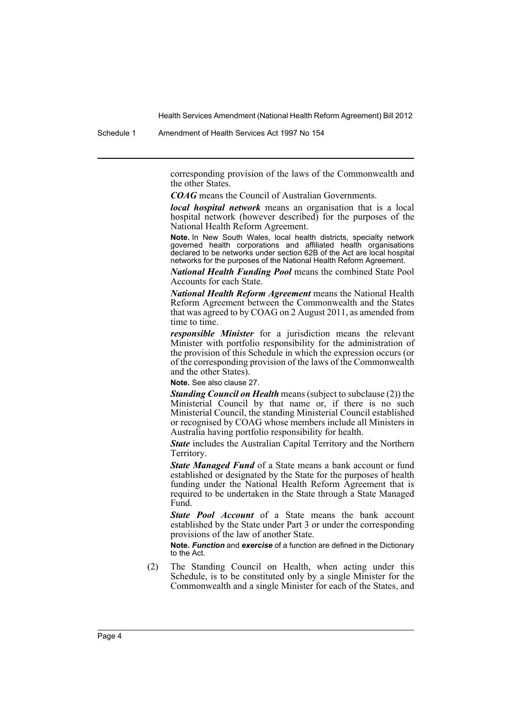Schedule 1 Amendment of Health Services Act 1997 No 154

corresponding provision of the laws of the Commonwealth and the other States.

*COAG* means the Council of Australian Governments.

*local hospital network* means an organisation that is a local hospital network (however described) for the purposes of the National Health Reform Agreement.

**Note.** In New South Wales, local health districts, specialty network governed health corporations and affiliated health organisations declared to be networks under section 62B of the Act are local hospital networks for the purposes of the National Health Reform Agreement.

*National Health Funding Pool* means the combined State Pool Accounts for each State.

*National Health Reform Agreement* means the National Health Reform Agreement between the Commonwealth and the States that was agreed to by COAG on 2 August 2011, as amended from time to time.

*responsible Minister* for a jurisdiction means the relevant Minister with portfolio responsibility for the administration of the provision of this Schedule in which the expression occurs (or of the corresponding provision of the laws of the Commonwealth and the other States).

**Note.** See also clause 27.

*Standing Council on Health* means (subject to subclause (2)) the Ministerial Council by that name or, if there is no such Ministerial Council, the standing Ministerial Council established or recognised by COAG whose members include all Ministers in Australia having portfolio responsibility for health.

*State* includes the Australian Capital Territory and the Northern Territory.

*State Managed Fund* of a State means a bank account or fund established or designated by the State for the purposes of health funding under the National Health Reform Agreement that is required to be undertaken in the State through a State Managed Fund.

*State Pool Account* of a State means the bank account established by the State under Part 3 or under the corresponding provisions of the law of another State.

**Note.** *Function* and *exercise* of a function are defined in the Dictionary to the Act.

(2) The Standing Council on Health, when acting under this Schedule, is to be constituted only by a single Minister for the Commonwealth and a single Minister for each of the States, and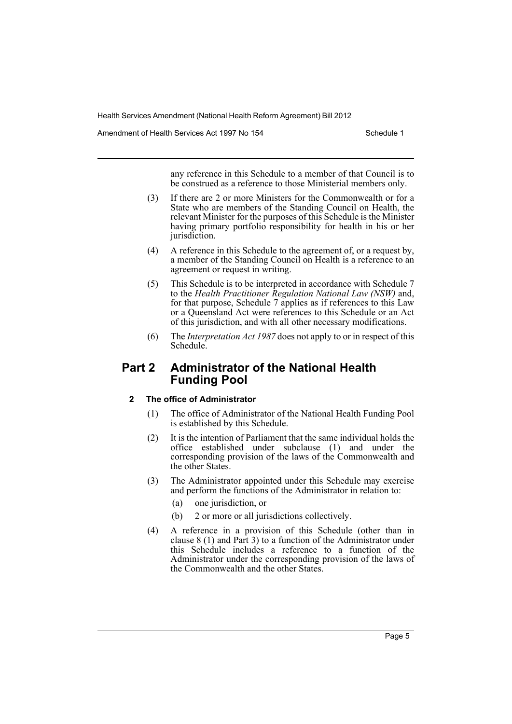Amendment of Health Services Act 1997 No 154 Schedule 1

any reference in this Schedule to a member of that Council is to be construed as a reference to those Ministerial members only.

- (3) If there are 2 or more Ministers for the Commonwealth or for a State who are members of the Standing Council on Health, the relevant Minister for the purposes of this Schedule is the Minister having primary portfolio responsibility for health in his or her jurisdiction.
- (4) A reference in this Schedule to the agreement of, or a request by, a member of the Standing Council on Health is a reference to an agreement or request in writing.
- (5) This Schedule is to be interpreted in accordance with Schedule 7 to the *Health Practitioner Regulation National Law (NSW)* and, for that purpose, Schedule 7 applies as if references to this Law or a Queensland Act were references to this Schedule or an Act of this jurisdiction, and with all other necessary modifications.
- (6) The *Interpretation Act 1987* does not apply to or in respect of this Schedule.

# **Part 2 Administrator of the National Health Funding Pool**

## **2 The office of Administrator**

- (1) The office of Administrator of the National Health Funding Pool is established by this Schedule.
- (2) It is the intention of Parliament that the same individual holds the office established under subclause (1) and under the corresponding provision of the laws of the Commonwealth and the other States.
- (3) The Administrator appointed under this Schedule may exercise and perform the functions of the Administrator in relation to:
	- (a) one jurisdiction, or
	- (b) 2 or more or all jurisdictions collectively.
- (4) A reference in a provision of this Schedule (other than in clause 8 (1) and Part 3) to a function of the Administrator under this Schedule includes a reference to a function of the Administrator under the corresponding provision of the laws of the Commonwealth and the other States.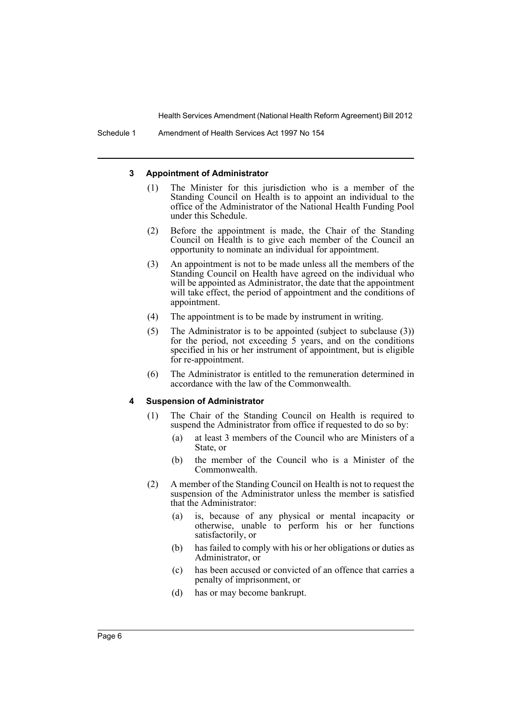#### **3 Appointment of Administrator**

- (1) The Minister for this jurisdiction who is a member of the Standing Council on Health is to appoint an individual to the office of the Administrator of the National Health Funding Pool under this Schedule.
- (2) Before the appointment is made, the Chair of the Standing Council on Health is to give each member of the Council an opportunity to nominate an individual for appointment.
- (3) An appointment is not to be made unless all the members of the Standing Council on Health have agreed on the individual who will be appointed as Administrator, the date that the appointment will take effect, the period of appointment and the conditions of appointment.
- (4) The appointment is to be made by instrument in writing.
- (5) The Administrator is to be appointed (subject to subclause (3)) for the period, not exceeding 5 years, and on the conditions specified in his or her instrument of appointment, but is eligible for re-appointment.
- (6) The Administrator is entitled to the remuneration determined in accordance with the law of the Commonwealth.

#### **4 Suspension of Administrator**

- (1) The Chair of the Standing Council on Health is required to suspend the Administrator from office if requested to do so by:
	- (a) at least 3 members of the Council who are Ministers of a State, or
	- (b) the member of the Council who is a Minister of the Commonwealth.
- (2) A member of the Standing Council on Health is not to request the suspension of the Administrator unless the member is satisfied that the Administrator:
	- (a) is, because of any physical or mental incapacity or otherwise, unable to perform his or her functions satisfactorily, or
	- (b) has failed to comply with his or her obligations or duties as Administrator, or
	- (c) has been accused or convicted of an offence that carries a penalty of imprisonment, or
	- (d) has or may become bankrupt.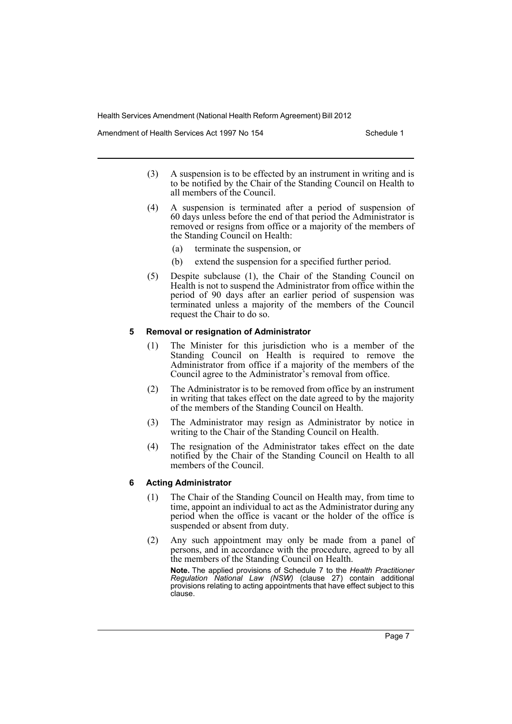Amendment of Health Services Act 1997 No 154 Schedule 1

- (3) A suspension is to be effected by an instrument in writing and is to be notified by the Chair of the Standing Council on Health to all members of the Council.
- (4) A suspension is terminated after a period of suspension of 60 days unless before the end of that period the Administrator is removed or resigns from office or a majority of the members of the Standing Council on Health:
	- (a) terminate the suspension, or
	- (b) extend the suspension for a specified further period.
- (5) Despite subclause (1), the Chair of the Standing Council on Health is not to suspend the Administrator from office within the period of 90 days after an earlier period of suspension was terminated unless a majority of the members of the Council request the Chair to do so.

#### **5 Removal or resignation of Administrator**

- (1) The Minister for this jurisdiction who is a member of the Standing Council on Health is required to remove the Administrator from office if a majority of the members of the Council agree to the Administrator's removal from office.
- (2) The Administrator is to be removed from office by an instrument in writing that takes effect on the date agreed to by the majority of the members of the Standing Council on Health.
- (3) The Administrator may resign as Administrator by notice in writing to the Chair of the Standing Council on Health.
- (4) The resignation of the Administrator takes effect on the date notified by the Chair of the Standing Council on Health to all members of the Council.

## **6 Acting Administrator**

- (1) The Chair of the Standing Council on Health may, from time to time, appoint an individual to act as the Administrator during any period when the office is vacant or the holder of the office is suspended or absent from duty.
- (2) Any such appointment may only be made from a panel of persons, and in accordance with the procedure, agreed to by all the members of the Standing Council on Health.

**Note.** The applied provisions of Schedule 7 to the *Health Practitioner Regulation National Law (NSW)* (clause 27) contain additional provisions relating to acting appointments that have effect subject to this clause.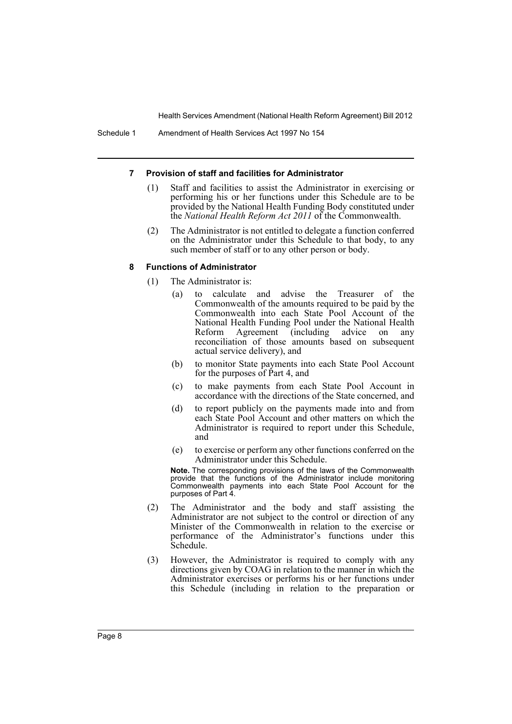#### **7 Provision of staff and facilities for Administrator**

- (1) Staff and facilities to assist the Administrator in exercising or performing his or her functions under this Schedule are to be provided by the National Health Funding Body constituted under the *National Health Reform Act 2011* of the Commonwealth.
- (2) The Administrator is not entitled to delegate a function conferred on the Administrator under this Schedule to that body, to any such member of staff or to any other person or body.

#### **8 Functions of Administrator**

- (1) The Administrator is:
	- (a) to calculate and advise the Treasurer of the Commonwealth of the amounts required to be paid by the Commonwealth into each State Pool Account of the National Health Funding Pool under the National Health Reform Agreement (including advice on any reconciliation of those amounts based on subsequent actual service delivery), and
	- (b) to monitor State payments into each State Pool Account for the purposes of Part 4, and
	- (c) to make payments from each State Pool Account in accordance with the directions of the State concerned, and
	- (d) to report publicly on the payments made into and from each State Pool Account and other matters on which the Administrator is required to report under this Schedule, and
	- (e) to exercise or perform any other functions conferred on the Administrator under this Schedule.

**Note.** The corresponding provisions of the laws of the Commonwealth provide that the functions of the Administrator include monitoring Commonwealth payments into each State Pool Account for the purposes of Part 4.

- (2) The Administrator and the body and staff assisting the Administrator are not subject to the control or direction of any Minister of the Commonwealth in relation to the exercise or performance of the Administrator's functions under this Schedule.
- (3) However, the Administrator is required to comply with any directions given by COAG in relation to the manner in which the Administrator exercises or performs his or her functions under this Schedule (including in relation to the preparation or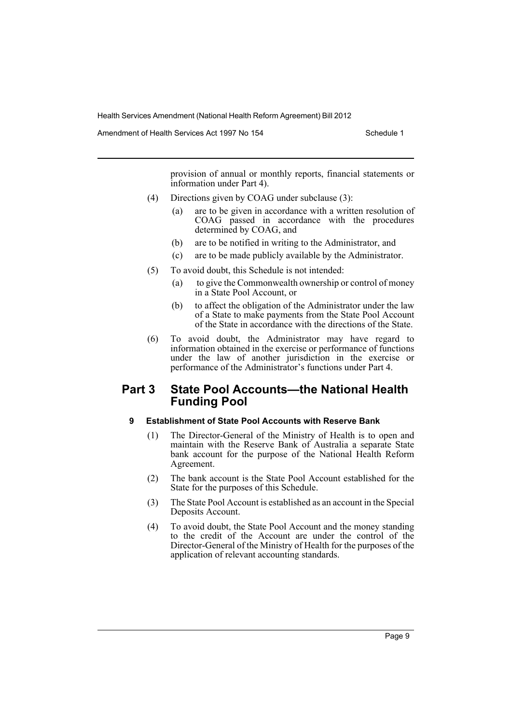Amendment of Health Services Act 1997 No 154 Schedule 1

provision of annual or monthly reports, financial statements or information under Part 4).

- (4) Directions given by COAG under subclause (3):
	- (a) are to be given in accordance with a written resolution of COAG passed in accordance with the procedures determined by COAG, and
	- (b) are to be notified in writing to the Administrator, and
	- (c) are to be made publicly available by the Administrator.
- (5) To avoid doubt, this Schedule is not intended:
	- (a) to give the Commonwealth ownership or control of money in a State Pool Account, or
	- (b) to affect the obligation of the Administrator under the law of a State to make payments from the State Pool Account of the State in accordance with the directions of the State.
- (6) To avoid doubt, the Administrator may have regard to information obtained in the exercise or performance of functions under the law of another jurisdiction in the exercise or performance of the Administrator's functions under Part 4.

# **Part 3 State Pool Accounts—the National Health Funding Pool**

# **9 Establishment of State Pool Accounts with Reserve Bank**

- (1) The Director-General of the Ministry of Health is to open and maintain with the Reserve Bank of Australia a separate State bank account for the purpose of the National Health Reform Agreement.
- (2) The bank account is the State Pool Account established for the State for the purposes of this Schedule.
- (3) The State Pool Account is established as an account in the Special Deposits Account.
- (4) To avoid doubt, the State Pool Account and the money standing to the credit of the Account are under the control of the Director-General of the Ministry of Health for the purposes of the application of relevant accounting standards.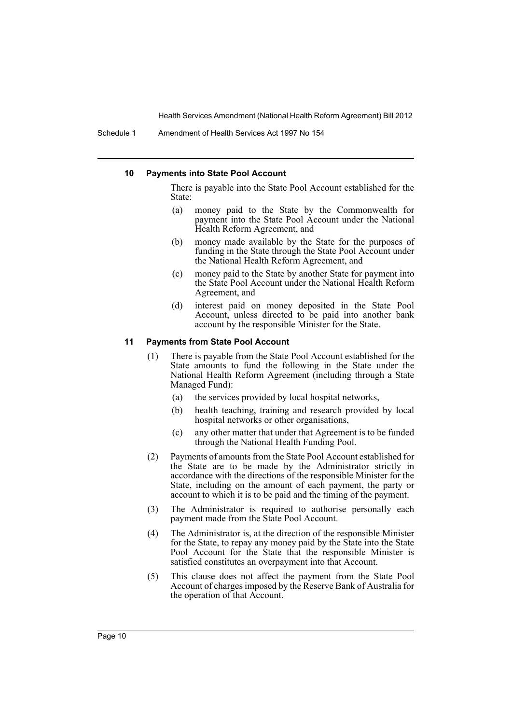Schedule 1 Amendment of Health Services Act 1997 No 154

#### **10 Payments into State Pool Account**

There is payable into the State Pool Account established for the State:

- (a) money paid to the State by the Commonwealth for payment into the State Pool Account under the National Health Reform Agreement, and
- (b) money made available by the State for the purposes of funding in the State through the State Pool Account under the National Health Reform Agreement, and
- (c) money paid to the State by another State for payment into the State Pool Account under the National Health Reform Agreement, and
- (d) interest paid on money deposited in the State Pool Account, unless directed to be paid into another bank account by the responsible Minister for the State.

#### **11 Payments from State Pool Account**

- (1) There is payable from the State Pool Account established for the State amounts to fund the following in the State under the National Health Reform Agreement (including through a State Managed Fund):
	- (a) the services provided by local hospital networks,
	- (b) health teaching, training and research provided by local hospital networks or other organisations,
	- (c) any other matter that under that Agreement is to be funded through the National Health Funding Pool.
- (2) Payments of amounts from the State Pool Account established for the State are to be made by the Administrator strictly in accordance with the directions of the responsible Minister for the State, including on the amount of each payment, the party or account to which it is to be paid and the timing of the payment.
- (3) The Administrator is required to authorise personally each payment made from the State Pool Account.
- (4) The Administrator is, at the direction of the responsible Minister for the State, to repay any money paid by the State into the State Pool Account for the State that the responsible Minister is satisfied constitutes an overpayment into that Account.
- (5) This clause does not affect the payment from the State Pool Account of charges imposed by the Reserve Bank of Australia for the operation of that Account.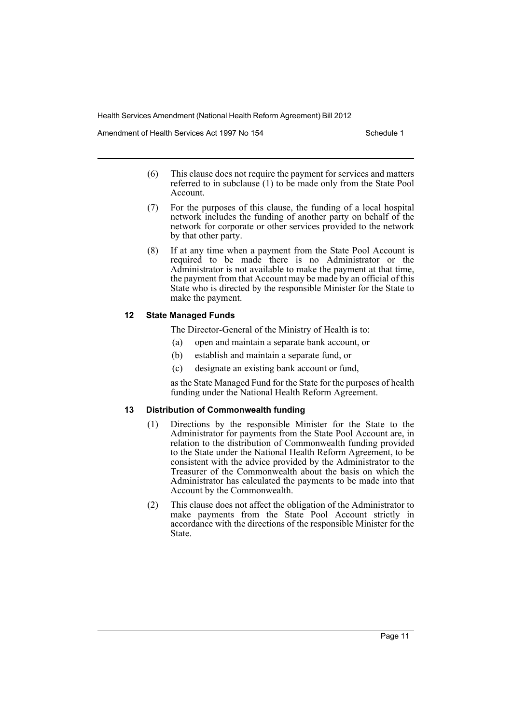Amendment of Health Services Act 1997 No 154 Schedule 1

- (6) This clause does not require the payment for services and matters referred to in subclause (1) to be made only from the State Pool Account.
- (7) For the purposes of this clause, the funding of a local hospital network includes the funding of another party on behalf of the network for corporate or other services provided to the network by that other party.
- (8) If at any time when a payment from the State Pool Account is required to be made there is no Administrator or the Administrator is not available to make the payment at that time, the payment from that Account may be made by an official of this State who is directed by the responsible Minister for the State to make the payment.

### **12 State Managed Funds**

The Director-General of the Ministry of Health is to:

- (a) open and maintain a separate bank account, or
- (b) establish and maintain a separate fund, or
- (c) designate an existing bank account or fund,

as the State Managed Fund for the State for the purposes of health funding under the National Health Reform Agreement.

#### **13 Distribution of Commonwealth funding**

- (1) Directions by the responsible Minister for the State to the Administrator for payments from the State Pool Account are, in relation to the distribution of Commonwealth funding provided to the State under the National Health Reform Agreement, to be consistent with the advice provided by the Administrator to the Treasurer of the Commonwealth about the basis on which the Administrator has calculated the payments to be made into that Account by the Commonwealth.
- (2) This clause does not affect the obligation of the Administrator to make payments from the State Pool Account strictly in accordance with the directions of the responsible Minister for the State.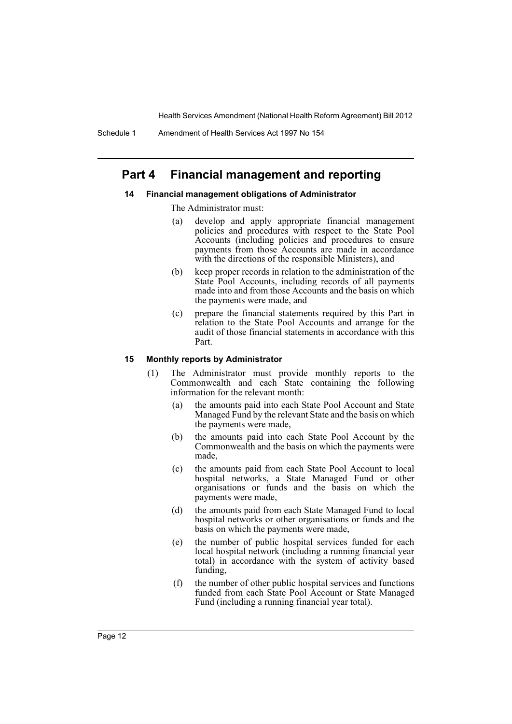Schedule 1 Amendment of Health Services Act 1997 No 154

# **Part 4 Financial management and reporting**

#### **14 Financial management obligations of Administrator**

- The Administrator must:
	- (a) develop and apply appropriate financial management policies and procedures with respect to the State Pool Accounts (including policies and procedures to ensure payments from those Accounts are made in accordance with the directions of the responsible Ministers), and
- (b) keep proper records in relation to the administration of the State Pool Accounts, including records of all payments made into and from those Accounts and the basis on which the payments were made, and
- (c) prepare the financial statements required by this Part in relation to the State Pool Accounts and arrange for the audit of those financial statements in accordance with this Part.

#### **15 Monthly reports by Administrator**

- (1) The Administrator must provide monthly reports to the Commonwealth and each State containing the following information for the relevant month:
	- (a) the amounts paid into each State Pool Account and State Managed Fund by the relevant State and the basis on which the payments were made,
	- (b) the amounts paid into each State Pool Account by the Commonwealth and the basis on which the payments were made,
	- (c) the amounts paid from each State Pool Account to local hospital networks, a State Managed Fund or other organisations or funds and the basis on which the payments were made,
	- (d) the amounts paid from each State Managed Fund to local hospital networks or other organisations or funds and the basis on which the payments were made,
	- (e) the number of public hospital services funded for each local hospital network (including a running financial year total) in accordance with the system of activity based funding,
	- (f) the number of other public hospital services and functions funded from each State Pool Account or State Managed Fund (including a running financial year total).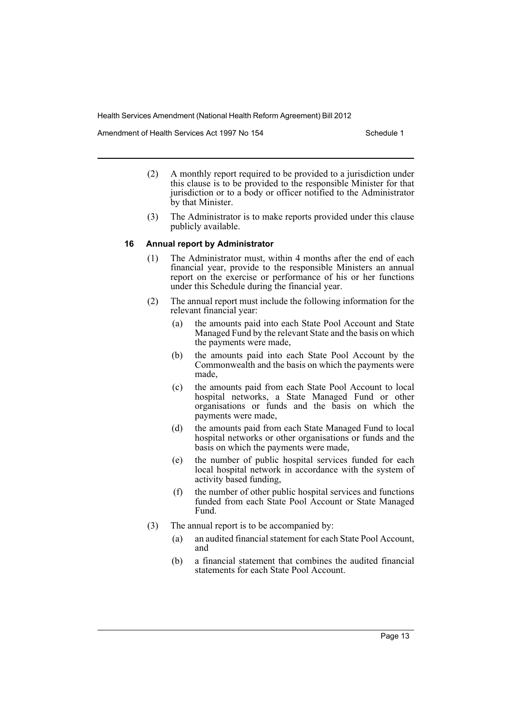Amendment of Health Services Act 1997 No 154 Schedule 1

- (2) A monthly report required to be provided to a jurisdiction under this clause is to be provided to the responsible Minister for that jurisdiction or to a body or officer notified to the Administrator by that Minister.
- (3) The Administrator is to make reports provided under this clause publicly available.

#### **16 Annual report by Administrator**

- (1) The Administrator must, within 4 months after the end of each financial year, provide to the responsible Ministers an annual report on the exercise or performance of his or her functions under this Schedule during the financial year.
- (2) The annual report must include the following information for the relevant financial year:
	- (a) the amounts paid into each State Pool Account and State Managed Fund by the relevant State and the basis on which the payments were made,
	- (b) the amounts paid into each State Pool Account by the Commonwealth and the basis on which the payments were made,
	- (c) the amounts paid from each State Pool Account to local hospital networks, a State Managed Fund or other organisations or funds and the basis on which the payments were made,
	- (d) the amounts paid from each State Managed Fund to local hospital networks or other organisations or funds and the basis on which the payments were made,
	- (e) the number of public hospital services funded for each local hospital network in accordance with the system of activity based funding,
	- (f) the number of other public hospital services and functions funded from each State Pool Account or State Managed Fund.
- (3) The annual report is to be accompanied by:
	- (a) an audited financial statement for each State Pool Account, and
	- (b) a financial statement that combines the audited financial statements for each State Pool Account.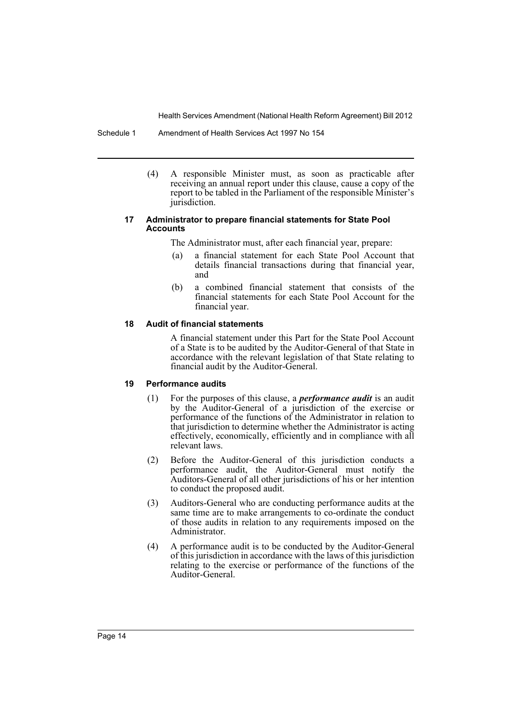Schedule 1 Amendment of Health Services Act 1997 No 154

(4) A responsible Minister must, as soon as practicable after receiving an annual report under this clause, cause a copy of the report to be tabled in the Parliament of the responsible Minister's jurisdiction.

#### **17 Administrator to prepare financial statements for State Pool Accounts**

The Administrator must, after each financial year, prepare:

- (a) a financial statement for each State Pool Account that details financial transactions during that financial year, and
- (b) a combined financial statement that consists of the financial statements for each State Pool Account for the financial year.

## **18 Audit of financial statements**

A financial statement under this Part for the State Pool Account of a State is to be audited by the Auditor-General of that State in accordance with the relevant legislation of that State relating to financial audit by the Auditor-General.

## **19 Performance audits**

- (1) For the purposes of this clause, a *performance audit* is an audit by the Auditor-General of a jurisdiction of the exercise or performance of the functions of the Administrator in relation to that jurisdiction to determine whether the Administrator is acting effectively, economically, efficiently and in compliance with all relevant laws.
- (2) Before the Auditor-General of this jurisdiction conducts a performance audit, the Auditor-General must notify the Auditors-General of all other jurisdictions of his or her intention to conduct the proposed audit.
- (3) Auditors-General who are conducting performance audits at the same time are to make arrangements to co-ordinate the conduct of those audits in relation to any requirements imposed on the Administrator.
- (4) A performance audit is to be conducted by the Auditor-General of this jurisdiction in accordance with the laws of this jurisdiction relating to the exercise or performance of the functions of the Auditor-General.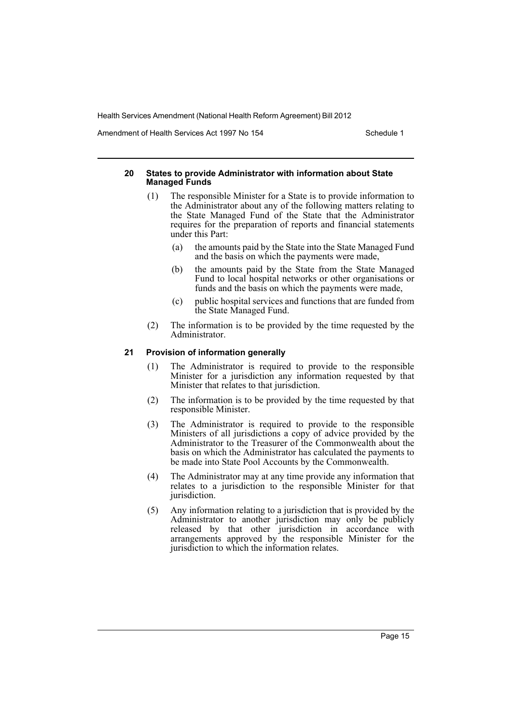Amendment of Health Services Act 1997 No 154 Schedule 1

#### **20 States to provide Administrator with information about State Managed Funds**

- (1) The responsible Minister for a State is to provide information to the Administrator about any of the following matters relating to the State Managed Fund of the State that the Administrator requires for the preparation of reports and financial statements under this Part:
	- (a) the amounts paid by the State into the State Managed Fund and the basis on which the payments were made,
	- (b) the amounts paid by the State from the State Managed Fund to local hospital networks or other organisations or funds and the basis on which the payments were made,
	- (c) public hospital services and functions that are funded from the State Managed Fund.
- (2) The information is to be provided by the time requested by the Administrator.

### **21 Provision of information generally**

- (1) The Administrator is required to provide to the responsible Minister for a jurisdiction any information requested by that Minister that relates to that jurisdiction.
- (2) The information is to be provided by the time requested by that responsible Minister.
- (3) The Administrator is required to provide to the responsible Ministers of all jurisdictions a copy of advice provided by the Administrator to the Treasurer of the Commonwealth about the basis on which the Administrator has calculated the payments to be made into State Pool Accounts by the Commonwealth.
- (4) The Administrator may at any time provide any information that relates to a jurisdiction to the responsible Minister for that jurisdiction.
- (5) Any information relating to a jurisdiction that is provided by the Administrator to another jurisdiction may only be publicly released by that other jurisdiction in accordance with arrangements approved by the responsible Minister for the jurisdiction to which the information relates.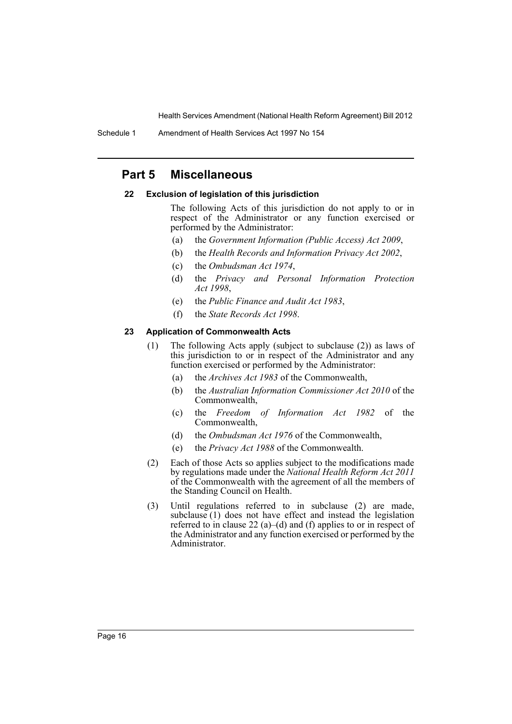Schedule 1 Amendment of Health Services Act 1997 No 154

# **Part 5 Miscellaneous**

#### **22 Exclusion of legislation of this jurisdiction**

The following Acts of this jurisdiction do not apply to or in respect of the Administrator or any function exercised or performed by the Administrator:

- (a) the *Government Information (Public Access) Act 2009*,
- (b) the *Health Records and Information Privacy Act 2002*,
- (c) the *Ombudsman Act 1974*,
- (d) the *Privacy and Personal Information Protection Act 1998*,
- (e) the *Public Finance and Audit Act 1983*,
- (f) the *State Records Act 1998*.

#### **23 Application of Commonwealth Acts**

- (1) The following Acts apply (subject to subclause (2)) as laws of this jurisdiction to or in respect of the Administrator and any function exercised or performed by the Administrator:
	- (a) the *Archives Act 1983* of the Commonwealth,
	- (b) the *Australian Information Commissioner Act 2010* of the Commonwealth,
	- (c) the *Freedom of Information Act 1982* of the Commonwealth,
	- (d) the *Ombudsman Act 1976* of the Commonwealth,
	- (e) the *Privacy Act 1988* of the Commonwealth.
- (2) Each of those Acts so applies subject to the modifications made by regulations made under the *National Health Reform Act 2011* of the Commonwealth with the agreement of all the members of the Standing Council on Health.
- (3) Until regulations referred to in subclause (2) are made, subclause  $(1)$  does not have effect and instead the legislation referred to in clause 22 (a)–(d) and (f) applies to or in respect of the Administrator and any function exercised or performed by the Administrator.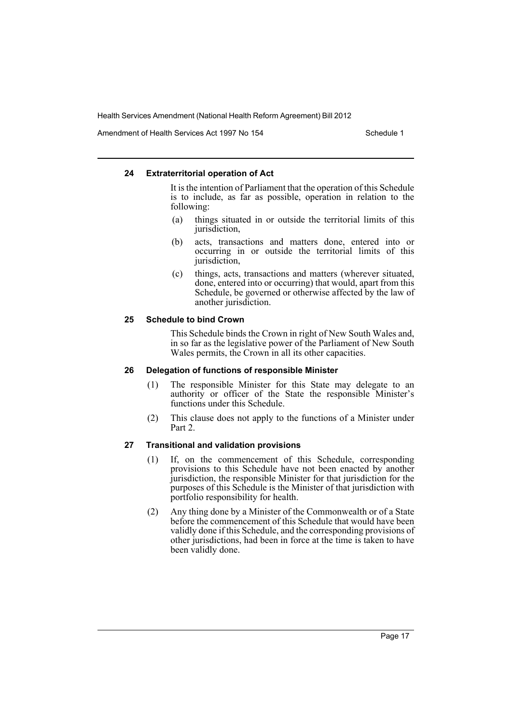Amendment of Health Services Act 1997 No 154 Schedule 1

#### **24 Extraterritorial operation of Act**

It is the intention of Parliament that the operation of this Schedule is to include, as far as possible, operation in relation to the following:

- (a) things situated in or outside the territorial limits of this jurisdiction,
- (b) acts, transactions and matters done, entered into or occurring in or outside the territorial limits of this jurisdiction,
- (c) things, acts, transactions and matters (wherever situated, done, entered into or occurring) that would, apart from this Schedule, be governed or otherwise affected by the law of another jurisdiction.

#### **25 Schedule to bind Crown**

This Schedule binds the Crown in right of New South Wales and, in so far as the legislative power of the Parliament of New South Wales permits, the Crown in all its other capacities.

#### **26 Delegation of functions of responsible Minister**

- (1) The responsible Minister for this State may delegate to an authority or officer of the State the responsible Minister's functions under this Schedule.
- (2) This clause does not apply to the functions of a Minister under Part 2.

#### **27 Transitional and validation provisions**

- (1) If, on the commencement of this Schedule, corresponding provisions to this Schedule have not been enacted by another jurisdiction, the responsible Minister for that jurisdiction for the purposes of this Schedule is the Minister of that jurisdiction with portfolio responsibility for health.
- (2) Any thing done by a Minister of the Commonwealth or of a State before the commencement of this Schedule that would have been validly done if this Schedule, and the corresponding provisions of other jurisdictions, had been in force at the time is taken to have been validly done.